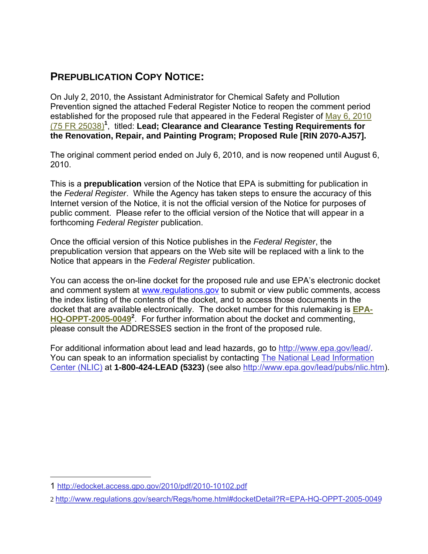## **PREPUBLICATION COPY NOTICE:**

On July 2, 2010, the Assistant Administrator for Chemical Safety and Pollution Prevention signed the attached Federal Register Notice to reopen the comment period established for the proposed rule that appeared in the Federal Register of [May 6, 2010](http://edocket.access.gpo.gov/2010/pdf/2010-10102.pdf)  [\(75 FR 25038\)](http://edocket.access.gpo.gov/2010/pdf/2010-10102.pdf)**<sup>1</sup>** , titled: **Lead; Clearance and Clearance Testing Requirements for the Renovation, Repair, and Painting Program; Proposed Rule [RIN 2070-AJ57].**

The original comment period ended on July 6, 2010, and is now reopened until August 6, 2010.

This is a **prepublication** version of the Notice that EPA is submitting for publication in the *Federal Register*. While the Agency has taken steps to ensure the accuracy of this Internet version of the Notice, it is not the official version of the Notice for purposes of public comment. Please refer to the official version of the Notice that will appear in a forthcoming *Federal Register* publication.

Once the official version of this Notice publishes in the *Federal Register*, the prepublication version that appears on the Web site will be replaced with a link to the Notice that appears in the *Federal Register* publication.

You can access the on-line docket for the proposed rule and use EPA's electronic docket and comment system at www.regulations.gov to submit or view public comments, access the index listing of the contents of the docket, and to access those documents in the docket that are available electronically. The docket number for this rulemaking is **[EPA-](http://www.regulations.gov/search/Regs/home.html#docketDetail?R=EPA-HQ-OPPT-2005-0049)[HQ-OPPT-2005-0049](http://www.regulations.gov/search/Regs/home.html#docketDetail?R=EPA-HQ-OPPT-2005-0049)<sup>2</sup>** . For further information about the docket and commenting, please consult the ADDRESSES section in the front of the proposed rule.

For additional information about lead and lead hazards, go to http://www.epa.gov/lead/. You can speak to an information specialist by contacting The National Lead Information Center (NLIC) at **1-800-424-LEAD (5323)** (see also http://www.epa.gov/lead/pubs/nlic.htm).

 $\overline{a}$ 

<sup>1</sup> http://edocket.access.gpo.gov/2010/pdf/2010-10102.pdf

<sup>2</sup> http://www.regulations.gov/search/Regs/home.html#docketDetail?R=EPA-HQ-OPPT-2005-0049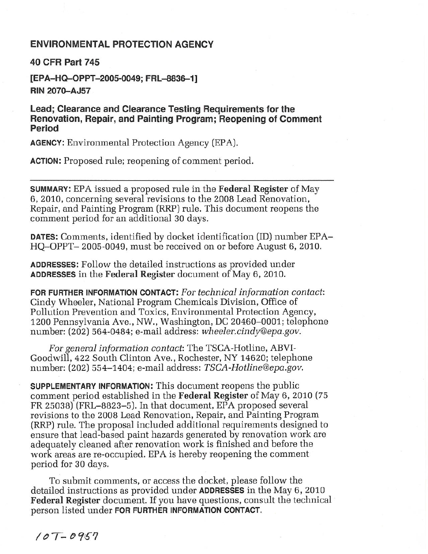## **ENVIRONMENTAL PROTECTION AGENCY**

**40 CFR Part 745** 

[EPA-HQ-OPPT-2005-0049; FRL-8836-1] **RIN 2070-AJ57** 

Lead; Clearance and Clearance Testing Requirements for the Renovation, Repair, and Painting Program; Reopening of Comment Period

**AGENCY:** Environmental Protection Agency (EPA).

**ACTION:** Proposed rule; reopening of comment period.

**SUMMARY:** EPA issued a proposed rule in the Federal Register of May 6, 2010, concerning several revisions to the 2008 Lead Renovation, Repair, and Painting Program (RRP) rule. This document reopens the comment period for an additional 30 days.

**DATES:** Comments, identified by docket identification (ID) number EPA-HQ-OPPT-2005-0049, must be received on or before August 6, 2010.

**ADDRESSES:** Follow the detailed instructions as provided under **ADDRESSES** in the Federal Register document of May 6, 2010.

FOR FURTHER INFORMATION CONTACT: For technical information contact: Cindy Wheeler, National Program Chemicals Division, Office of Pollution Prevention and Toxics, Environmental Protection Agency, 1200 Pennsylvania Ave., NW., Washington, DC 20460–0001; telephone number: (202) 564-0484; e-mail address: wheeler.cindy@epa.gov.

For general information contact: The TSCA-Hotline, ABVI-Goodwill, 422 South Clinton Ave., Rochester, NY 14620; telephone number: (202) 554–1404; e-mail address: TSCA-Hotline@epa.gov.

**SUPPLEMENTARY INFORMATION:** This document reopens the public comment period established in the Federal Register of May 6, 2010 (75) FR 25038) (FRL-8823-5). In that document, EPA proposed several revisions to the 2008 Lead Renovation, Repair, and Painting Program (RRP) rule. The proposal included additional requirements designed to ensure that lead-based paint hazards generated by renovation work are adequately cleaned after renovation work is finished and before the work areas are re-occupied. EPA is hereby reopening the comment period for 30 days.

To submit comments, or access the docket, please follow the detailed instructions as provided under **ADDRESSES** in the May 6, 2010 **Federal Register** document. If you have questions, consult the technical person listed under FOR FURTHER INFORMATION CONTACT.

 $107 - 0957$